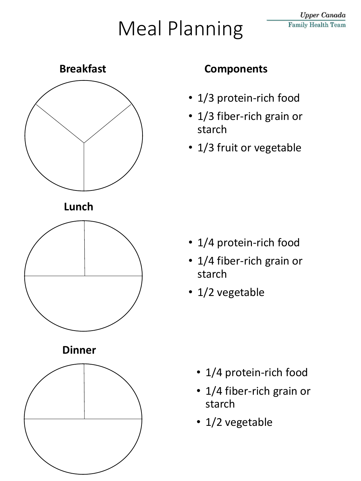# Meal Planning



- 1/3 protein-rich food
- 1/3 fiber-rich grain or starch
- 1/3 fruit or vegetable

- 1/4 protein-rich food
- 1/4 fiber-rich grain or starch
- 1/2 vegetable

- 1/4 protein-rich food
- 1/4 fiber-rich grain or starch
- 1/2 vegetable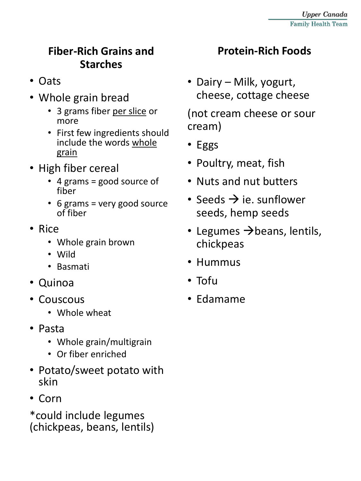#### **Fiber-Rich Grains and Starches**

- Oats
- Whole grain bread
	- 3 grams fiber per slice or more
	- First few ingredients should include the words whole grain
- High fiber cereal
	- 4 grams = good source of fiber
	- 6 grams = very good source of fiber
- Rice
	- Whole grain brown
	- Wild
	- Basmati
- Quinoa
- Couscous
	- Whole wheat
- Pasta
	- Whole grain/multigrain
	- Or fiber enriched
- Potato/sweet potato with skin
- Corn

\*could include legumes (chickpeas, beans, lentils)

### **Protein-Rich Foods**

• Dairy – Milk, yogurt, cheese, cottage cheese

(not cream cheese or sour cream)

- Eggs
- Poultry, meat, fish
- Nuts and nut butters
- Seeds  $\rightarrow$  ie. sunflower seeds, hemp seeds
- Legumes  $\rightarrow$  beans, lentils, chickpeas
- Hummus
- Tofu
- Edamame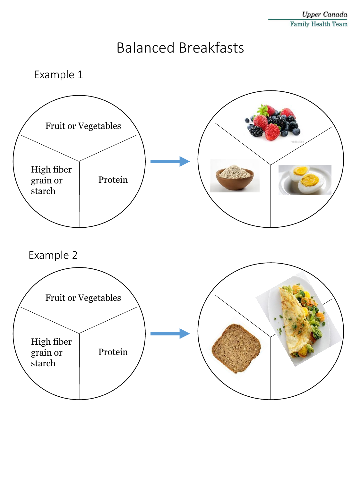#### **Upper Canada Family Health Team**

### Balanced Breakfasts

Example 1

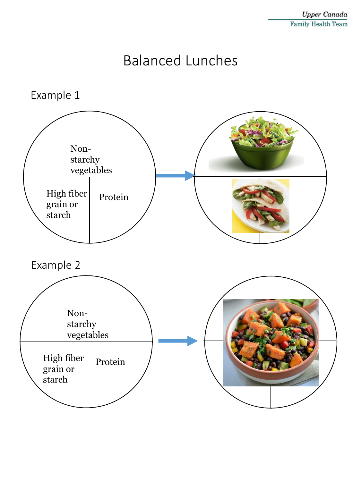### Balanced Lunches

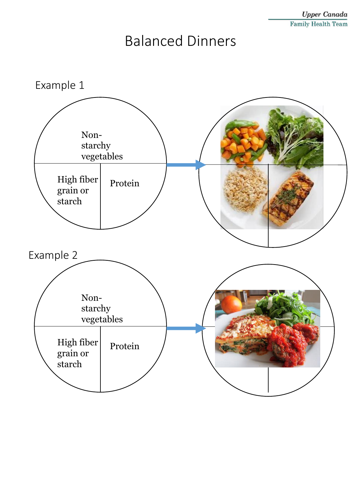### Balanced Dinners

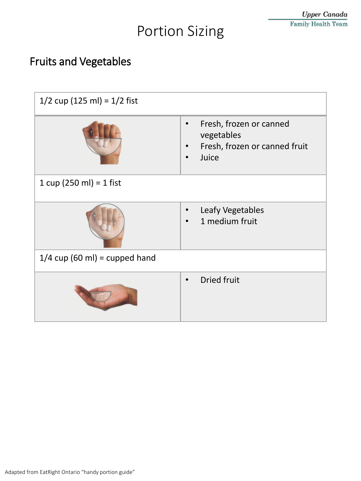## Portion Sizing

### Fruits and Vegetables

| $1/2$ cup (125 ml) = $1/2$ fist |                                                                                              |  |
|---------------------------------|----------------------------------------------------------------------------------------------|--|
|                                 | Fresh, frozen or canned<br>vegetables<br>Fresh, frozen or canned fruit<br>$\bullet$<br>Juice |  |
| 1 cup (250 ml) = 1 fist         |                                                                                              |  |
|                                 | Leafy Vegetables<br>$\bullet$<br>1 medium fruit                                              |  |
| $1/4$ cup (60 ml) = cupped hand |                                                                                              |  |
|                                 | <b>Dried fruit</b>                                                                           |  |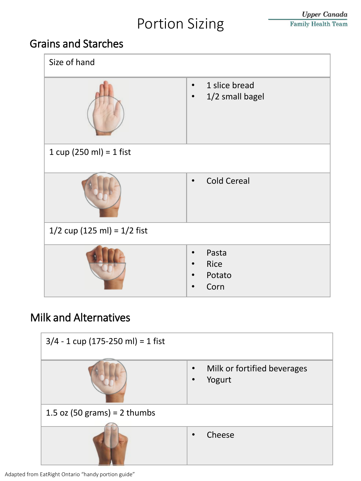### Portion Sizing

#### Grains and Starches



#### Milk and Alternatives



Adapted from EatRight Ontario "handy portion guide"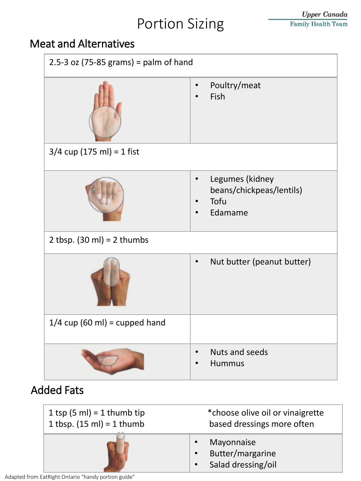### Portion Sizing

#### Meat and Alternatives



| 1 tsp $(5 ml) = 1$ thumb tip        | *choose olive oil or vinaigrette                     |
|-------------------------------------|------------------------------------------------------|
| 1 tbsp. $(15 \text{ ml}) = 1$ thumb | based dressings more often                           |
|                                     | Mayonnaise<br>Butter/margarine<br>Salad dressing/oil |

Adapted from EatRight Ontario "handy portion guide"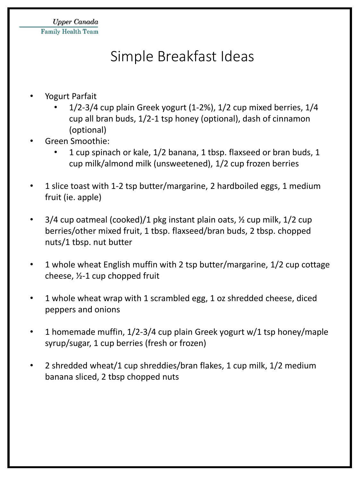### Simple Breakfast Ideas

#### • Yogurt Parfait

- 1/2-3/4 cup plain Greek yogurt (1-2%), 1/2 cup mixed berries, 1/4 cup all bran buds, 1/2-1 tsp honey (optional), dash of cinnamon (optional)
- Green Smoothie:
	- 1 cup spinach or kale, 1/2 banana, 1 tbsp. flaxseed or bran buds, 1 cup milk/almond milk (unsweetened), 1/2 cup frozen berries
- 1 slice toast with 1-2 tsp butter/margarine, 2 hardboiled eggs, 1 medium fruit (ie. apple)
- 3/4 cup oatmeal (cooked)/1 pkg instant plain oats, ½ cup milk, 1/2 cup berries/other mixed fruit, 1 tbsp. flaxseed/bran buds, 2 tbsp. chopped nuts/1 tbsp. nut butter
- 1 whole wheat English muffin with 2 tsp butter/margarine, 1/2 cup cottage cheese, ½-1 cup chopped fruit
- 1 whole wheat wrap with 1 scrambled egg, 1 oz shredded cheese, diced peppers and onions
- 1 homemade muffin, 1/2-3/4 cup plain Greek yogurt w/1 tsp honey/maple syrup/sugar, 1 cup berries (fresh or frozen)
- 2 shredded wheat/1 cup shreddies/bran flakes, 1 cup milk, 1/2 medium banana sliced, 2 tbsp chopped nuts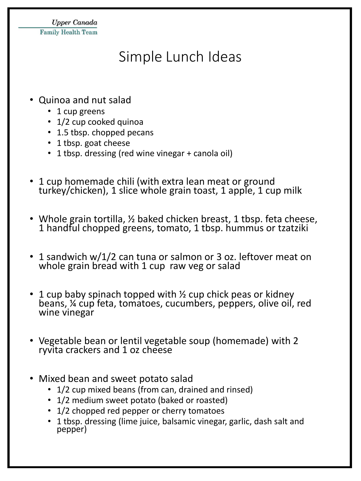**Upper Canada Family Health Team** 

### Simple Lunch Ideas

- Quinoa and nut salad
	- 1 cup greens
	- 1/2 cup cooked quinoa
	- 1.5 tbsp. chopped pecans
	- 1 tbsp. goat cheese
	- 1 tbsp. dressing (red wine vinegar + canola oil)
- 1 cup homemade chili (with extra lean meat or ground turkey/chicken), 1 slice whole grain toast, 1 apple, 1 cup milk
- Whole grain tortilla,  $\frac{1}{2}$  baked chicken breast, 1 tbsp. feta cheese, 1 handful chopped greens, tomato, 1 tbsp. hummus or tzatziki
- 1 sandwich w/1/2 can tuna or salmon or 3 oz. leftover meat on whole grain bread with 1 cup raw veg or salad
- 1 cup baby spinach topped with  $\frac{1}{2}$  cup chick peas or kidney beans, ¼ cup feta, tomatoes, cucumbers, peppers, olive oil, red wine vinegar
- Vegetable bean or lentil vegetable soup (homemade) with 2 ryvita crackers and 1 oz cheese
- Mixed bean and sweet potato salad
	- 1/2 cup mixed beans (from can, drained and rinsed)
	- 1/2 medium sweet potato (baked or roasted)
	- 1/2 chopped red pepper or cherry tomatoes
	- 1 tbsp. dressing (lime juice, balsamic vinegar, garlic, dash salt and pepper)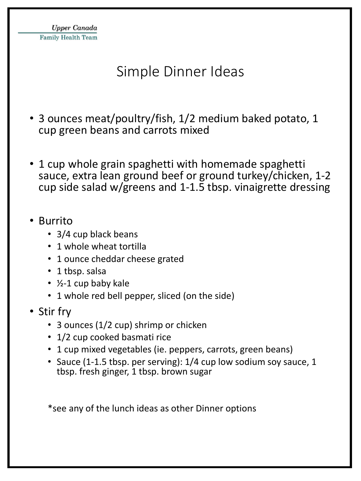### Simple Dinner Ideas

- 3 ounces meat/poultry/fish, 1/2 medium baked potato, 1 cup green beans and carrots mixed
- 1 cup whole grain spaghetti with homemade spaghetti sauce, extra lean ground beef or ground turkey/chicken, 1-2 cup side salad w/greens and 1-1.5 tbsp. vinaigrette dressing
- Burrito
	- 3/4 cup black beans
	- 1 whole wheat tortilla
	- 1 ounce cheddar cheese grated
	- 1 tbsp. salsa
	- ½-1 cup baby kale
	- 1 whole red bell pepper, sliced (on the side)
- Stir fry
	- 3 ounces (1/2 cup) shrimp or chicken
	- 1/2 cup cooked basmati rice
	- 1 cup mixed vegetables (ie. peppers, carrots, green beans)
	- Sauce (1-1.5 tbsp. per serving): 1/4 cup low sodium soy sauce, 1 tbsp. fresh ginger, 1 tbsp. brown sugar

\*see any of the lunch ideas as other Dinner options